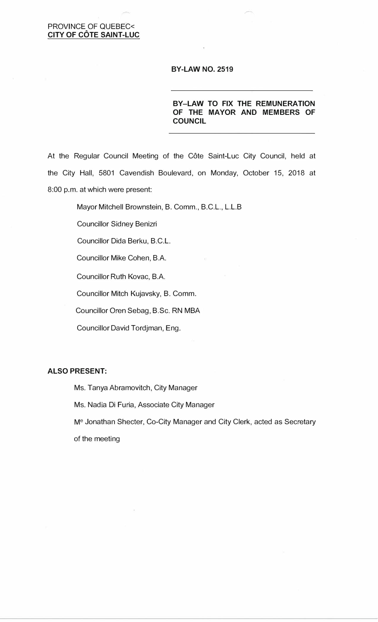## PROVINCE OF QUEBEC< **CITY OF COTE SAINT-LUC**

#### **BY-LAW NO. 2519**

**BY-LAW TO FIX THE REMUNERATION OF THE MAYOR AND MEMBERS OF COUNCIL** 

.�

At the Regular Council Meeting of the Côte Saint-Luc City Council, held at the City Hall, 5801 Cavendish Boulevard, on Monday, October 15, 2018 at 8:00 p.m. at which were present:

Mayor Mitchell Brownstein, B. Comm., B.C.L., L.L.B

Councillor Sidney Benizri

Councillor Dida Berku, B.C.L.

Councillor Mike Cohen, B.A.

Councillor Ruth Kovac, B.A.

Councillor Mitch Kujavsky, B. Comm.

Councillor Oren Sebag, B.Sc. RN MBA

Councillor David Tordjman, Eng.

#### **ALSO PRESENT:**

Ms. Tanya Abramovitch, City Manager

Ms. Nadia Di Furia, Associate City Manager

M<sup>e</sup> Jonathan Shecter, Co-City Manager and City Clerk, acted as Secretary

of the meeting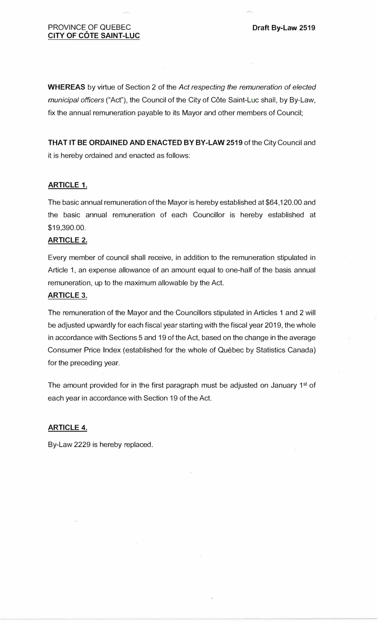**WHEREAS** by virtue of Section 2 of the *Act respecting the remuneration of elected municipal officers* ("Act"), the Council of the City of Cote Saint-Luc shall, by By-Law, fix the annual remuneration payable to its Mayor and other members of Council;

**THAT IT BE ORDAINED AND ENACTED BY BY-LAW 2519** of the City Council and it is hereby ordained and enacted as follows:

## **ARTICLE 1.**

The basic annual remuneration of the Mayor is hereby established at \$64,120.00 and the basic annual remuneration of each Councillor is hereby established at \$19,390.00.

## **ARTICLE 2.**

Every member of council shall receive, in addition to the remuneration stipulated in Article 1, an expense allowance of an amount equal to one-half of the basis annual remuneration, up to the maximum allowable by the Act.

### **ARTICLE 3.**

The remuneration of the Mayor and the Councillors stipulated in Articles 1 and 2 will be adjusted upwardly for each fiscal year starting with the fiscal year 2019, the whole in accordance with Sections 5 and 19 of the Act, based on the change in the average Consumer Price Index (established for the whole of Quebec by Statistics Canada) for the preceding year.

The amount provided for in the first paragraph must be adjusted on January  $1<sup>st</sup>$  of each year in accordance with Section 19 of the Act.

### **ARTICLE 4.**

By-Law 2229 is hereby replaced.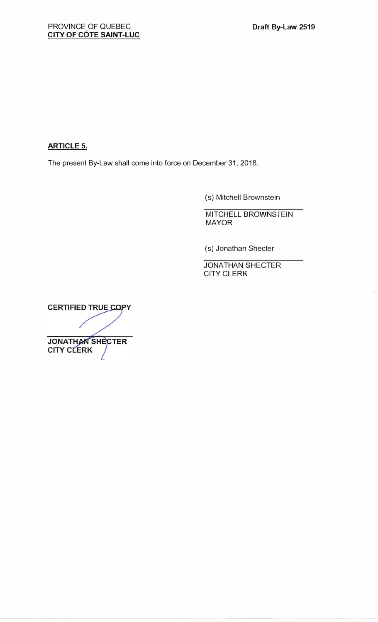**ARTICLE 5.** 

The present By-Law shall come into force on December 31, 2018.

(s) Mitchell Brownstein

MITCHELL BROWNSTEIN MAYOR

(s) Jonathan Shecter

JONATHAN SHECTER CITY CLERK

**CERTIFIED TRUE COPY JONATHAN SHECTER CITY CLERK**